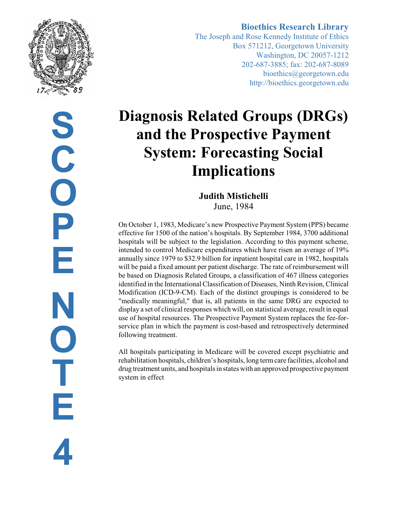

**S C O P E N O T E 4**

# **Bioethics Research Library**

The Joseph and Rose Kennedy Institute of Ethics Box 571212, Georgetown University Washington, DC 20057-1212 202-687-3885; fax: 202-687-8089 bioethics@georgetown.edu http://bioethics.georgetown.edu

# **Diagnosis Related Groups (DRGs) and the Prospective Payment System: Forecasting Social Implications**

**Judith Mistichelli** June, 1984

On October 1, 1983, Medicare's new Prospective Payment System (PPS) became effective for 1500 of the nation's hospitals. By September 1984, 3700 additional hospitals will be subject to the legislation. According to this payment scheme, intended to control Medicare expenditures which have risen an average of 19% annually since 1979 to \$32.9 billion for inpatient hospital care in 1982, hospitals will be paid a fixed amount per patient discharge. The rate of reimbursement will be based on Diagnosis Related Groups, a classification of 467 illness categories identified in the International Classification of Diseases, Ninth Revision, Clinical Modification (ICD-9-CM). Each of the distinct groupings is considered to be "medically meaningful," that is, all patients in the same DRG are expected to display a set of clinical responses which will, on statistical average, result in equal use of hospital resources. The Prospective Payment System replaces the fee-forservice plan in which the payment is cost-based and retrospectively determined following treatment.

All hospitals participating in Medicare will be covered except psychiatric and rehabilitation hospitals, children's hospitals, long termcare facilities, alcohol and drug treatment units, and hospitals in states with an approved prospective payment system in effect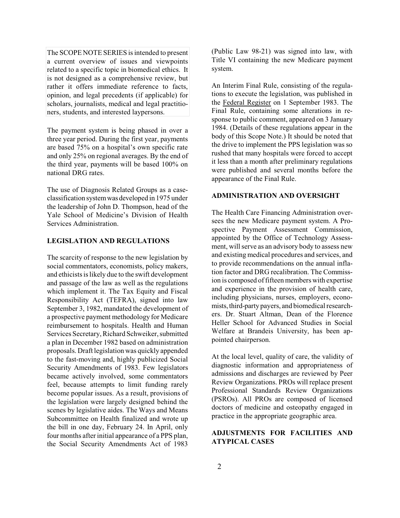The SCOPE NOTE SERIES is intended to present a current overview of issues and viewpoints related to a specific topic in biomedical ethics. It is not designed as a comprehensive review, but rather it offers immediate reference to facts, opinion, and legal precedents (if applicable) for scholars, journalists, medical and legal practitioners, students, and interested laypersons.

The payment system is being phased in over a three year period. During the first year, payments are based 75% on a hospital's own specific rate and only 25% on regional averages. By the end of the third year, payments will be based 100% on national DRG rates.

The use of Diagnosis Related Groups as a caseclassification systemwas developed in 1975 under the leadership of John D. Thompson, head of the Yale School of Medicine's Division of Health Services Administration.

## **LEGISLATION AND REGULATIONS**

The scarcity of response to the new legislation by social commentators, economists, policy makers, and ethicists is likely due to the swift development and passage of the law as well as the regulations which implement it. The Tax Equity and Fiscal Responsibility Act (TEFRA), signed into law September 3, 1982, mandated the development of a prospective payment methodology for Medicare reimbursement to hospitals. Health and Human Services Secretary, Richard Schweiker, submitted a plan in December 1982 based on administration proposals. Draft legislation was quickly appended to the fast-moving and, highly publicized Social Security Amendments of 1983. Few legislators became actively involved, some commentators feel, because attempts to limit funding rarely become popular issues. As a result, provisions of the legislation were largely designed behind the scenes by legislative aides. The Ways and Means Subcommittee on Health finalized and wrote up the bill in one day, February 24. In April, only four months after initial appearance of a PPS plan, the Social Security Amendments Act of 1983

(Public Law 98-21) was signed into law, with Title VI containing the new Medicare payment system.

An Interim Final Rule, consisting of the regulations to execute the legislation, was published in the Federal Register on 1 September 1983. The Final Rule, containing some alterations in response to public comment, appeared on 3 January 1984. (Details of these regulations appear in the body of this Scope Note.) It should be noted that the drive to implement the PPS legislation was so rushed that many hospitals were forced to accept it less than a month after preliminary regulations were published and several months before the appearance of the Final Rule.

#### **ADMINISTRATION AND OVERSIGHT**

The Health Care Financing Administration oversees the new Medicare payment system. A Prospective Payment Assessment Commission, appointed by the Office of Technology Assessment, will serve as an advisory body to assess new and existing medical procedures and services, and to provide recommendations on the annual inflation factor and DRG recalibration. The Commission is composed of fifteen members with expertise and experience in the provision of health care, including physicians, nurses, employers, economists, third-party payers, and biomedical researchers. Dr. Stuart Altman, Dean of the Florence Heller School for Advanced Studies in Social Welfare at Brandeis University, has been appointed chairperson.

At the local level, quality of care, the validity of diagnostic information and appropriateness of admissions and discharges are reviewed by Peer Review Organizations. PROs will replace present Professional Standards Review Organizations (PSROs). All PROs are composed of licensed doctors of medicine and osteopathy engaged in practice in the appropriate geographic area.

# **ADJUSTMENTS FOR FACILITIES AND ATYPICAL CASES**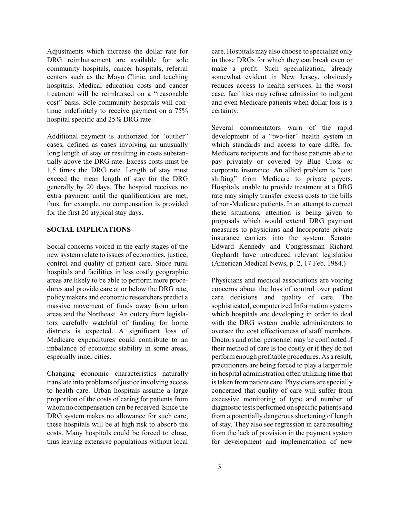Adjustments which increase the dollar rate for DRG reimbursement are available for sole community hospitals, cancer hospitals, referral centers such as the Mayo Clinic, and teaching hospitals. Medical education costs and cancer treatment will be reimbursed on a "reasonable cost" basis. Sole community hospitals will continue indefinitely to receive payment on a 75% hospital specific and 25% DRG rate.

Additional payment is authorized for "outlier" cases, defined as cases involving an unusually long length of stay or resulting in costs substantially above the DRG rate. Excess costs must be 1.5 times the DRG rate. Length of stay must exceed the mean length of stay for the DRG generally by 20 days. The hospital receives no extra payment until the qualifications are met, thus, for example, no compensation is provided for the first 20 atypical stay days.

#### **SOCIAL IMPLICATIONS**

Social concerns voiced in the early stages of the new system relate to issues of economics, justice, control and quality of patient care. Since rural hospitals and facilities in less costly geographic areas are likely to be able to perform more procedures and provide care at or below the DRG rate, policy makers and economic researchers predict a massive movement of funds away from urban areas and the Northeast. An outcry from legislators carefully watchful of funding for home districts is expected. A significant loss of Medicare expenditures could contribute to an imbalance of economic stability in some areas, especially inner cities.

Changing economic characteristics naturally translate into problems of justice involving access to health care. Urban hospitals assume a large proportion of the costs of caring for patients from whomno compensation can be received. Since the DRG system makes no allowance for such care, these hospitals will be at high risk to absorb the costs. Many hospitals could be forced to close, thus leaving extensive populations without local care. Hospitals may also choose to specialize only in those DRGs for which they can break even or make a profit. Such specialization, already somewhat evident in New Jersey, obviously reduces access to health services. In the worst case, facilities may refuse admission to indigent and even Medicare patients when dollar loss is a certainty.

Several commentators warn of the rapid development of a "two-tier" health system in which standards and access to care differ for Medicare recipients and for those patients able to pay privately or covered by Blue Cross or corporate insurance. An allied problem is "cost shifting" from Medicare to private payers. Hospitals unable to provide treatment at a DRG rate may simply transfer excess costs to the bills of non-Medicare patients. In an attempt to correct these situations, attention is being given to proposals which would extend DRG payment measures to physicians and Incorporate private insurance carriers into the system. Senator Edward Kennedy and Congressman Richard Gephardt have introduced relevant legislation (American Medical News, p. 2, 17 Feb. 1984.)

Physicians and medical associations are voicing concerns about the loss of control over patient care decisions and quality of care. The sophisticated, computerized Information systems which hospitals are developing in order to deal with the DRG system enable administrators to oversee the cost effectiveness of staff members. Doctors and other personnel may be confronted if their method of care Is too costly or if they do not performenough profitable procedures. As a result, practitioners are being forced to play a larger role in hospital administration often utilizing time that is taken frompatient care. Physicians are specially concerned that quality of care will suffer from excessive monitoring of type and number of diagnostic tests performed on specific patients and from a potentially dangerous shortening of length of stay. They also see regression in care resulting from the lack of provision in the payment system for development and implementation of new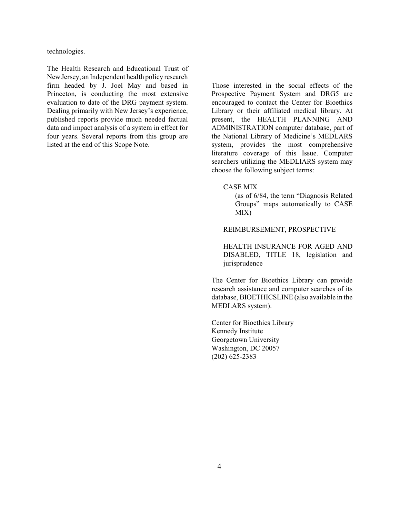technologies.

The Health Research and Educational Trust of NewJersey, an Independent health policy research firm headed by J. Joel May and based in Princeton, is conducting the most extensive evaluation to date of the DRG payment system. Dealing primarily with New Jersey's experience, published reports provide much needed factual data and impact analysis of a system in effect for four years. Several reports from this group are listed at the end of this Scope Note.

Those interested in the social effects of the Prospective Payment System and DRG5 are encouraged to contact the Center for Bioethics Library or their affiliated medical library. At present, the HEALTH PLANNING AND ADMINISTRATION computer database, part of the National Library of Medicine's MEDLARS system, provides the most comprehensive literature coverage of this Issue. Computer searchers utilizing the MEDLIARS system may choose the following subject terms:

#### CASE MIX

(as of 6/84, the term "Diagnosis Related Groups" maps automatically to CASE MIX)

#### REIMBURSEMENT, PROSPECTIVE

HEALTH INSURANCE FOR AGED AND DISABLED, TITLE 18, legislation and jurisprudence

The Center for Bioethics Library can provide research assistance and computer searches of its database, BIOETHICSLINE (also available in the MEDLARS system).

Center for Bioethics Library Kennedy Institute Georgetown University Washington, DC 20057 (202) 625-2383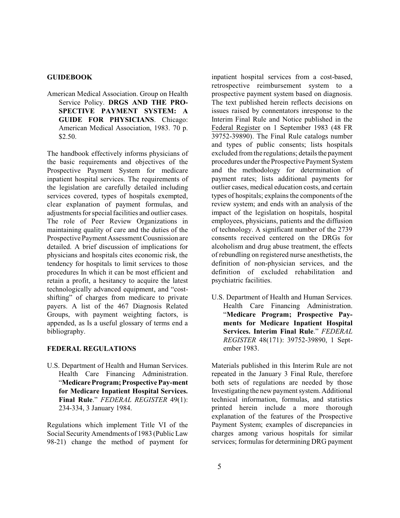#### **GUIDEBOOK**

American Medical Association. Group on Health Service Policy. **DRGS AND THE PRO-SPECTIVE PAYMENT SYSTEM: A GUIDE FOR PHYSICIANS**. Chicago: American Medical Association, 1983. 70 p. \$2.50.

The handbook effectively informs physicians of the basic requirements and objectives of the Prospective Payment System for medicare inpatient hospital services. The requirements of the legislation are carefully detailed including services covered, types of hospitals exempted, clear explanation of payment formulas, and adjustments for special facilities and outlier cases. The role of Peer Review Organizations in maintaining quality of care and the duties of the Prospective Payment Assessment Cousnission are detailed. A brief discussion of implications for physicians and hospitals cites economic risk, the tendency for hospitals to limit services to those procedures In which it can be most efficient and retain a profit, a hesitancy to acquire the latest technologically advanced equipment, and "costshifting" of charges from medicare to private payers. A list of the 467 Diagnosis Related Groups, with payment weighting factors, is appended, as Is a useful glossary of terms end a bibliography.

#### **FEDERAL REGULATIONS**

U.S. Department of Health and Human Services. Health Care Financing Administration. "**MedicareProgram;Prospective Pay-ment for Medicare Inpatient Hospital Services. Final Rule**." *FEDERAL REGISTER* 49(1): 234-334, 3 January 1984.

Regulations which implement Title VI of the Social Security Amendments of 1983 (Public Law 98-21) change the method of payment for inpatient hospital services from a cost-based, retrospective reimbursement system to a prospective payment system based on diagnosis. The text published herein reflects decisions on issues raised by connentators inresponse to the Interim Final Rule and Notice published in the Federal Register on 1 September 1983 (48 FR 39752-39890). The Final Rule catalogs number and types of public consents; lists hospitals excluded from the regulations; details the payment procedures under the Prospective Payment System and the methodology for determination of payment rates; lists additional payments for outlier cases, medical education costs, and certain types of hospitals; explains the components of the review system; and ends with an analysis of the impact of the legislation on hospitals, hospital employees, physicians, patients and the diffusion of technology. A significant number of the 2739 consents received centered on the DRGs for alcoholism and drug abuse treatment, the effects of rebundling on registered nurse anesthetists, the definition of non-physician services, and the definition of excluded rehabilitation and psychiatric facilities.

U.S. Department of Health and Human Services. Health Care Financing Administration. "**Medicare Program; Prospective Payments for Medicare Inpatient Hospital Services. Interim Final Rule**." *FEDERAL REGISTER* 48(171): 39752-39890, 1 September 1983.

Materials published in this Interim Rule are not repeated in the January 3 Final Rule, therefore both sets of regulations are needed by those Investigating the new payment system. Additional technical information, formulas, and statistics printed herein include a more thorough explanation of the features of the Prospective Payment System; examples of discrepancies in charges among various hospitals for similar services; formulas for determining DRG payment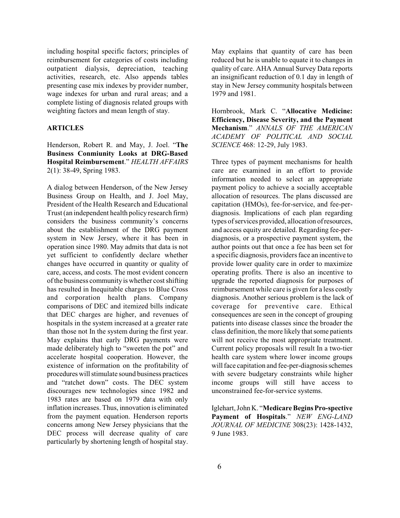including hospital specific factors; principles of reimbursement for categories of costs including outpatient dialysis, depreciation, teaching activities, research, etc. Also appends tables presenting case mix indexes by provider number, wage indexes for urban and rural areas; and a complete listing of diagnosis related groups with weighting factors and mean length of stay.

#### **ARTICLES**

Henderson, Robert R. and May, J. Joel. "**The Business Conmiunity Looks at DRG-Based Hospital Reimbursement**." *HEALTH AFFAIRS* 2(1): 38-49, Spring 1983.

A dialog between Henderson, of the New Jersey Business Group on Health, and J. Joel May, President of the Health Research and Educational Trust(an independent health policy research firm) considers the business community's concerns about the establishment of the DRG payment system in New Jersey, where it has been in operation since 1980. May admits that data is not yet sufficient to confidently declare whether changes have occurred in quantity or quality of care, access, and costs. The most evident concern ofthe business community is whether costshifting has resulted in Inequitable charges to Blue Cross and corporation health plans. Company comparisons of DEC and itemized bills indicate that DEC charges are higher, and revenues of hospitals in the system increased at a greater rate than those not In the system during the first year. May explains that early DRG payments were made deliberately high to "sweeten the pot" and accelerate hospital cooperation. However, the existence of information on the profitability of procedures willstimulate sound business practices and "ratchet down" costs. The DEC system discourages new technologies since 1982 and 1983 rates are based on 1979 data with only inflation increases. Thus, innovation is eliminated from the payment equation. Henderson reports concerns among New Jersey physicians that the DEC process will decrease quality of care particularly by shortening length of hospital stay.

May explains that quantity of care has been reduced but he is unable to equate it to changes in quality of care. AHA Annual Survey Data reports an insignificant reduction of 0.1 day in length of stay in New Jersey community hospitals between 1979 and 1981.

Hornbrook, Mark C. "**Allocative Medicine: Efficiency, Disease Severity, and the Payment Mechanism**." *ANNALS OF THE AMERICAN ACADEMY OF POLITICAL AND SOCIAL SCIENCE* 468: 12-29, July 1983.

Three types of payment mechanisms for health care are examined in an effort to provide information needed to select an appropriate payment policy to achieve a socially acceptable allocation of resources. The plans discussed are capitation (HMOs), fee-for-service, and fee-perdiagnosis. Implications of each plan regarding types of services provided, allocation of resources, and access equity are detailed. Regarding fee-perdiagnosis, or a prospective payment system, the author points out that once a fee has been set for a specific diagnosis, providers face an incentive to provide lower quality care in order to maximize operating profits. There is also an incentive to upgrade the reported diagnosis for purposes of reimbursement while care is given for a less costly diagnosis. Another serious problem is the lack of coverage for preventive care. Ethical consequences are seen in the concept of grouping patients into disease classes since the broader the class definition, the more likely that some patients will not receive the most appropriate treatment. Current policy proposals will result In a two-tier health care system where lower income groups will face capitation and fee-per-diagnosis schemes with severe budgetary constraints while higher income groups will still have access to unconstrained fee-for-service systems.

Iglehart, John K. "**Medicare BeginsPro-spective Payment of Hospitals**." *NEW ENG-LAND JOURNAL OF MEDICINE* 308(23): 1428-1432, 9 June 1983.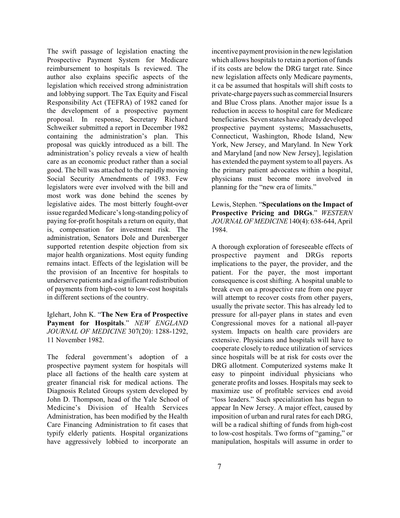The swift passage of legislation enacting the Prospective Payment System for Medicare reimbursement to hospitals Is reviewed. The author also explains specific aspects of the legislation which received strong administration and lobbying support. The Tax Equity and Fiscal Responsibility Act (TEFRA) of 1982 caned for the development of a prospective payment proposal. In response, Secretary Richard Schweiker submitted a report in December 1982 containing the administration's plan. This proposal was quickly introduced as a bill. The administration's policy reveals a view of health care as an economic product rather than a social good. The bill was attached to the rapidly moving Social Security Amendments of 1983. Few legislators were ever involved with the bill and most work was done behind the scenes by legislative aides. The most bitterly fought-over issue regarded Medicare's long-standing policy of paying for-profit hospitals a return on equity, that is, compensation for investment risk. The administration, Senators Dole and Durenberger supported retention despite objection from six major health organizations. Most equity funding remains intact. Effects of the legislation will be the provision of an Incentive for hospitals to underserve patients and a significant redistribution of payments from high-cost to low-cost hospitals in different sections of the country.

Iglehart, John K. "**The New Era of Prospective Payment for Hospitals**." *NEW ENGLAND JOURNAL OF MEDICINE* 307(20): 1288-1292, 11 November 1982.

The federal government's adoption of a prospective payment system for hospitals will place all factions of the health care system at greater financial risk for medical actions. The Diagnosis Related Groups system developed by John D. Thompson, head of the Yale School of Medicine's Division of Health Services Administration, has been modified by the Health Care Financing Administration to fit cases that typify elderly patients. Hospital organizations have aggressively lobbied to incorporate an

incentive payment provision in the newlegislation which allows hospitals to retain a portion of funds if its costs are below the DRG target rate. Since new legislation affects only Medicare payments, it ca be assumed that hospitals will shift costs to private-charge payers such as commercial Insurers and Blue Cross plans. Another major issue Is a reduction in access to hospital care for Medicare beneficiaries. Seven states have already developed prospective payment systems; Massachusetts, Connecticut, Washington, Rhode Island, New York, New Jersey, and Maryland. In New York and Maryland [and now New Jersey], legislation has extended the payment system to all payers. As the primary patient advocates within a hospital, physicians must become more involved in planning for the "new era of limits."

Lewis, Stephen. "**Speculations on the Impact of Prospective Pricing and DRGs**." *WESTERN JOURNALOFMEDICINE*140(4): 638-644, April 1984.

A thorough exploration of foreseeable effects of prospective payment and DRGs reports implications to the payer, the provider, and the patient. For the payer, the most important consequence is cost shifting. A hospital unable to break even on a prospective rate from one payer will attempt to recover costs from other payers, usually the private sector. This has already led to pressure for all-payer plans in states and even Congressional moves for a national all-payer system. Impacts on health care providers are extensive. Physicians and hospitals will have to cooperate closely to reduce utilization of services since hospitals will be at risk for costs over the DRG allotment. Computerized systems make It easy to pinpoint individual physicians who generate profits and losses. Hospitals may seek to maximize use of profitable services end avoid "loss leaders." Such specialization has begun to appear In New Jersey. A major effect, caused by imposition of urban and rural rates for each DRG, will be a radical shifting of funds from high-cost to low-cost hospitals. Two forms of "gaming," or manipulation, hospitals will assume in order to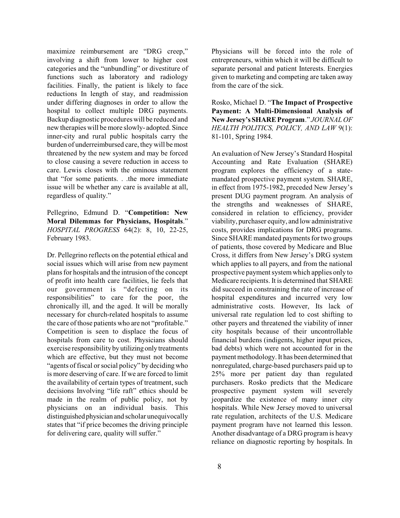maximize reimbursement are "DRG creep," involving a shift from lower to higher cost categories and the "unbundling" or divestiture of functions such as laboratory and radiology facilities. Finally, the patient is likely to face reductions In length of stay, and readmission under differing diagnoses in order to allow the hospital to collect multiple DRG payments. Backup diagnostic procedures will be reduced and new therapies will be more slowly- adopted. Since inner-city and rural public hospitals carry the burden of underreimbursed care, they will be most threatened by the new system and may be forced to close causing a severe reduction in access to care. Lewis closes with the ominous statement that "for some patients. . .the more immediate issue will be whether any care is available at all, regardless of quality."

Pellegrino, Edmund D. "**Competition: New Moral Dilemmas for Physicians, Hospitals**." *HOSPITAL PROGRESS* 64(2): 8, 10, 22-25, February 1983.

Dr. Pellegrino reflects on the potential ethical and social issues which will arise from new payment plans for hospitals and the intrusion of the concept of profit into health care facilities, lie feels that our government is "defecting on its responsibilities" to care for the poor, the chronically ill, and the aged. It will be morally necessary for church-related hospitals to assume the care of those patients who are not "profitable." Competition is seen to displace the focus of hospitals from care to cost. Physicians should exercise responsibility by utilizing only treatments which are effective, but they must not become "agents of fiscal or social policy" by deciding who is more deserving of care. If we are forced to limit the availability of certain types of treatment, such decisions Involving "life raft" ethics should be made in the realm of public policy, not by physicians on an individual basis. This distinguished physician and scholar unequivocally states that "if price becomes the driving principle for delivering care, quality will suffer."

Physicians will be forced into the role of entrepreneurs, within which it will be difficult to separate personal and patient Interests. Energies given to marketing and competing are taken away from the care of the sick.

Rosko, Michael D. "**The Impact of Prospective Payment: A Multi-Dimensional Analysis of New Jersey'sSHARE Program**." *JOURNAL OF HEALTH POLITICS, POLICY, AND LAW* 9(1): 81-101, Spring 1984.

An evaluation of New Jersey's Standard Hospital Accounting and Rate Evaluation (SHARE) program explores the efficiency of a statemandated prospective payment system. SHARE, in effect from 1975-1982, preceded New Jersey's present DUG payment program. An analysis of the strengths and weaknesses of SHARE, considered in relation to efficiency, provider viability, purchaser equity, and low administrative costs, provides implications for DRG programs. Since SHARE mandated payments for two groups of patients, those covered by Medicare and Blue Cross, it differs from New Jersey's DRG system which applies to all payers, and from the national prospective payment system which applies only to Medicare recipients. It is determined that SHARE did succeed in constraining the rate of increase of hospital expenditures and incurred very low administrative costs. However, Its lack of universal rate regulation led to cost shifting to other payers and threatened the viability of inner city hospitals because of their uncontrollable financial burdens (indigents, higher input prices, bad debts) which were not accounted for in the payment methodology. It has been determined that nonregulated, charge-based purchasers paid up to 25% more per patient day than regulated purchasers. Rosko predicts that the Medicare prospective payment system will severely jeopardize the existence of many inner city hospitals. While New Jersey moved to universal rate regulation, architects of the U.S. Medicare payment program have not learned this lesson. Another disadvantage of a DRG program is heavy reliance on diagnostic reporting by hospitals. In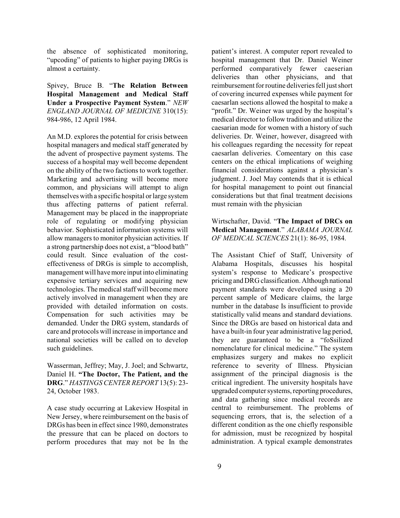the absence of sophisticated monitoring, "upcoding" of patients to higher paying DRGs is almost a certainty.

Spivey, Bruce B. "**The Relation Between Hospital Management and Medical Staff Under a Prospective Payment System**." *NEW ENGLAND JOURNAL OF MEDICINE* 310(15): 984-986, 12 April 1984.

An M.D. explores the potential for crisis between hospital managers and medical staff generated by the advent of prospective payment systems. The success of a hospital may well become dependent on the ability of the two factions to work together. Marketing and advertising will become more common, and physicians will attempt to align themselves with a specific hospital or large system thus affecting patterns of patient referral. Management may be placed in the inappropriate role of regulating or modifying physician behavior. Sophisticated information systems will allow managers to monitor physician activities. If a strong partnership does not exist, a "blood bath" could result. Since evaluation of the costeffectiveness of DRGs is simple to accomplish, management will havemore input into eliminating expensive tertiary services and acquiring new technologies. The medical staff will become more actively involved in management when they are provided with detailed information on costs. Compensation for such activities may be demanded. Under the DRG system, standards of care and protocols will increase in importance and national societies will be called on to develop such guidelines.

Wasserman, Jeffrey; May, J. Joel; and Schwartz, Daniel H. **"The Doctor, The Patient, and the DRG**." *HASTINGS CENTER REPORT* 13(5): 23- 24, October 1983.

A case study occurring at Lakeview Hospital in New Jersey, where reimbursement on the basis of DRGs has been in effect since 1980, demonstrates the pressure that can be placed on doctors to perform procedures that may not be In the

patient's interest. A computer report revealed to hospital management that Dr. Daniel Weiner performed comparatively fewer caeserian deliveries than other physicians, and that reimbursement for routine deliveries fell just short of covering incurred expenses while payment for caesarlan sections allowed the hospital to make a "profit." Dr. Weiner was urged by the hospital's medical director to follow tradition and utilize the caesarian mode for women with a history of such deliveries. Dr. Weiner, however, disagreed with his colleagues regarding the necessity for repeat caesarlan deliveries. Comeentary on this case centers on the ethical implications of weighing financial considerations against a physician's judgment. J. Joel May contends that it is ethical for hospital management to point out financial considerations but that final treatment decisions must remain with the physician

Wirtschafter, David. "**The Impact of DRCs on Medical Management**." *ALABAMA JOURNAL OF MEDICAL SCIENCES* 21(1): 86-95, 1984.

The Assistant Chief of Staff, University of Alabama Hospitals, discusses his hospital system's response to Medicare's prospective pricing and DRG classification. Although national payment standards were developed using a 20 percent sample of Medicare claims, the large number in the database Is insufficient to provide statistically valid means and standard deviations. Since the DRGs are based on historical data and have a built-in four year administrative lag period, they are guaranteed to be a "foSsilized nomenclature for clinical medicine." The system emphasizes surgery and makes no explicit reference to severity of Illness. Physician assignment of the principal diagnosis is the critical ingredient. The university hospitals have upgraded computer systems, reporting procedures, and data gathering since medical records are central to reimbursement. The problems of sequencing errors, that is, the selection of a different condition as the one chiefly responsible for admission, must be recognized by hospital administration. A typical example demonstrates